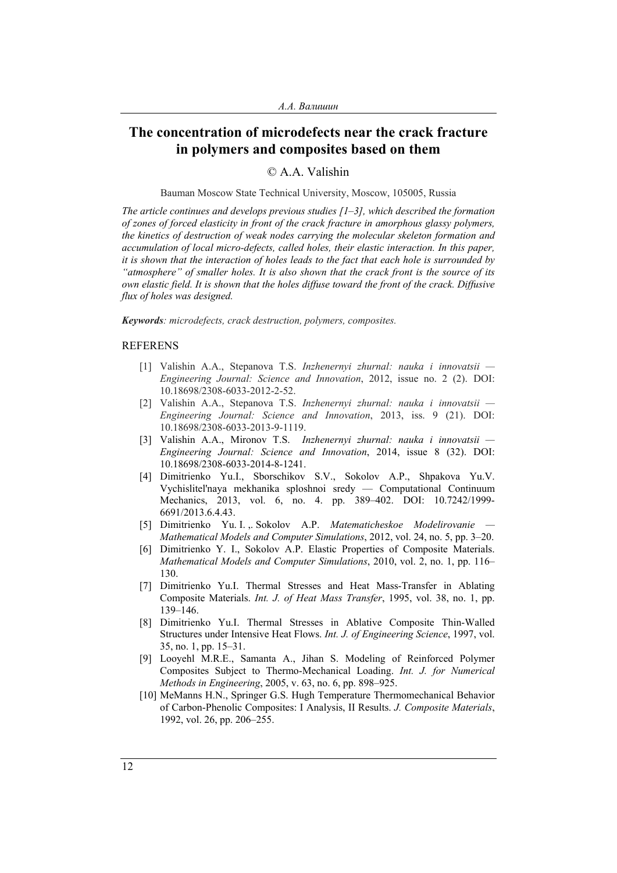## **The concentration of microdefects near the crack fracture in polymers and composites based on them**

## © A.A. Valishin

Bauman Moscow State Technical University, Moscow, 105005, Russia

*The article continues and develops previous studies [1–3], which described the formation of zones of forced elasticity in front of the crack fracture in amorphous glassy polymers, the kinetics of destruction of weak nodes carrying the molecular skeleton formation and accumulation of local micro-defects, called holes, their elastic interaction. In this paper, it is shown that the interaction of holes leads to the fact that each hole is surrounded by "atmosphere" of smaller holes. It is also shown that the crack front is the source of its own elastic field. It is shown that the holes diffuse toward the front of the crack. Diffusive flux of holes was designed.* 

*Keywords: microdefects, crack destruction, polymers, composites.* 

## REFERENS

- [1] Valishin A.A., Stepanova T.S. *Inzhenernyi zhurnal: nauka i innovatsii Engineering Journal: Science and Innovation*, 2012, issue no. 2 (2). DOI: 10.18698/2308-6033-2012-2-52.
- [2] Valishin A.A., Stepanova T.S. *Inzhenernyi zhurnal: nauka i innovatsii Engineering Journal: Science and Innovation*, 2013, iss. 9 (21). DOI: 10.18698/2308-6033-2013-9-1119.
- [3] Valishin A.A., Mironov T.S. *Inzhenernyi zhurnal: nauka i innovatsii Engineering Journal: Science and Innovation*, 2014, issue 8 (32). DOI: 10.18698/2308-6033-2014-8-1241.
- [4] Dimitrienko Yu.I., Sborschikov S.V., Sokolov A.P., Shpakova Yu.V. Vychislitel'naya mekhanika sploshnoi sredy — Computational Continuum Mechanics, 2013, vol. 6, no. 4. pp. 389–402. DOI: 10.7242/1999- 6691/2013.6.4.43.
- [5] Dimitrienko Yu. I. ,. Sokolov A.P. *Matematicheskoe Modelirovanie Mathematical Models and Computer Simulations*, 2012, vol. 24, no. 5, pp. 3–20.
- [6] Dimitrienko Y. I., Sokolov A.P. Elastic Properties of Composite Materials. *Mathematical Models and Computer Simulations*, 2010, vol. 2, no. 1, pp. 116– 130.
- [7] Dimitrienko Yu.I. Thermal Stresses and Heat Mass-Transfer in Ablating Composite Materials. *Int. J. of Heat Mass Transfer*, 1995, vol. 38, no. 1, pp. 139–146.
- [8] Dimitrienko Yu.I. Thermal Stresses in Ablative Composite Thin-Walled Structures under Intensive Heat Flows. *Int. J. of Engineering Science*, 1997, vol. 35, no. 1, pp. 15–31.
- [9] Looyehl M.R.E., Samanta A., Jihan S. Modeling of Reinforced Polymer Composites Subject to Thermo-Mechanical Loading. *Int. J. for Numerical Methods in Engineering*, 2005, v. 63, no. 6, pp. 898–925.
- [10] MeManns H.N., Springer G.S. Hugh Temperature Thermomechanical Behavior of Carbon-Phenolic Composites: I Analysis, II Results. *J. Composite Materials*, 1992, vol. 26, pp. 206–255.